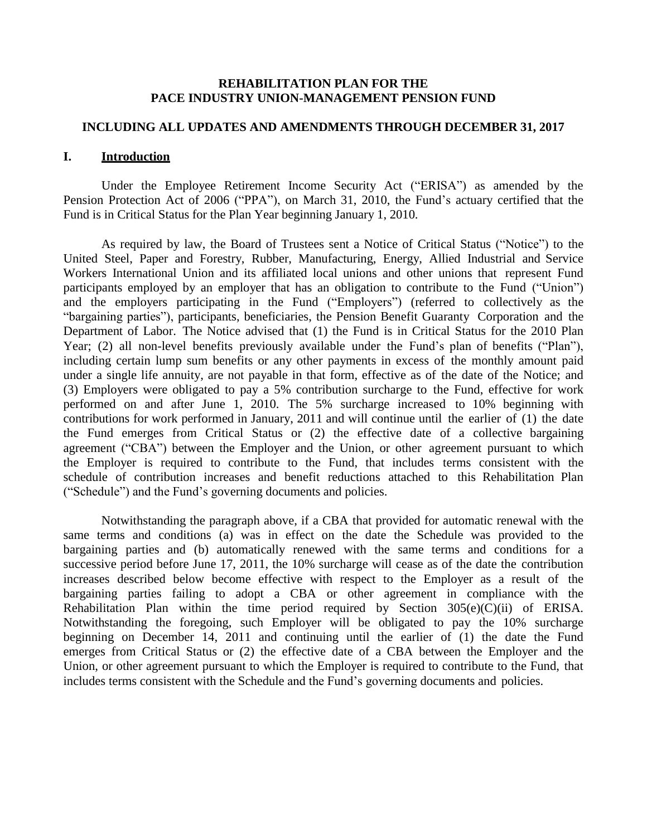### **REHABILITATION PLAN FOR THE PACE INDUSTRY UNION-MANAGEMENT PENSION FUND**

## **INCLUDING ALL UPDATES AND AMENDMENTS THROUGH DECEMBER 31, 2017**

### **I. Introduction**

Under the Employee Retirement Income Security Act ("ERISA") as amended by the Pension Protection Act of 2006 ("PPA"), on March 31, 2010, the Fund's actuary certified that the Fund is in Critical Status for the Plan Year beginning January 1, 2010.

As required by law, the Board of Trustees sent a Notice of Critical Status ("Notice") to the United Steel, Paper and Forestry, Rubber, Manufacturing, Energy, Allied Industrial and Service Workers International Union and its affiliated local unions and other unions that represent Fund participants employed by an employer that has an obligation to contribute to the Fund ("Union") and the employers participating in the Fund ("Employers") (referred to collectively as the "bargaining parties"), participants, beneficiaries, the Pension Benefit Guaranty Corporation and the Department of Labor. The Notice advised that (1) the Fund is in Critical Status for the 2010 Plan Year; (2) all non-level benefits previously available under the Fund's plan of benefits ("Plan"), including certain lump sum benefits or any other payments in excess of the monthly amount paid under a single life annuity, are not payable in that form, effective as of the date of the Notice; and (3) Employers were obligated to pay a 5% contribution surcharge to the Fund, effective for work performed on and after June 1, 2010. The 5% surcharge increased to 10% beginning with contributions for work performed in January, 2011 and will continue until the earlier of (1) the date the Fund emerges from Critical Status or (2) the effective date of a collective bargaining agreement ("CBA") between the Employer and the Union, or other agreement pursuant to which the Employer is required to contribute to the Fund, that includes terms consistent with the schedule of contribution increases and benefit reductions attached to this Rehabilitation Plan ("Schedule") and the Fund's governing documents and policies.

Notwithstanding the paragraph above, if a CBA that provided for automatic renewal with the same terms and conditions (a) was in effect on the date the Schedule was provided to the bargaining parties and (b) automatically renewed with the same terms and conditions for a successive period before June 17, 2011, the 10% surcharge will cease as of the date the contribution increases described below become effective with respect to the Employer as a result of the bargaining parties failing to adopt a CBA or other agreement in compliance with the Rehabilitation Plan within the time period required by Section  $305(e)(C)(ii)$  of ERISA. Notwithstanding the foregoing, such Employer will be obligated to pay the 10% surcharge beginning on December 14, 2011 and continuing until the earlier of (1) the date the Fund emerges from Critical Status or (2) the effective date of a CBA between the Employer and the Union, or other agreement pursuant to which the Employer is required to contribute to the Fund, that includes terms consistent with the Schedule and the Fund's governing documents and policies.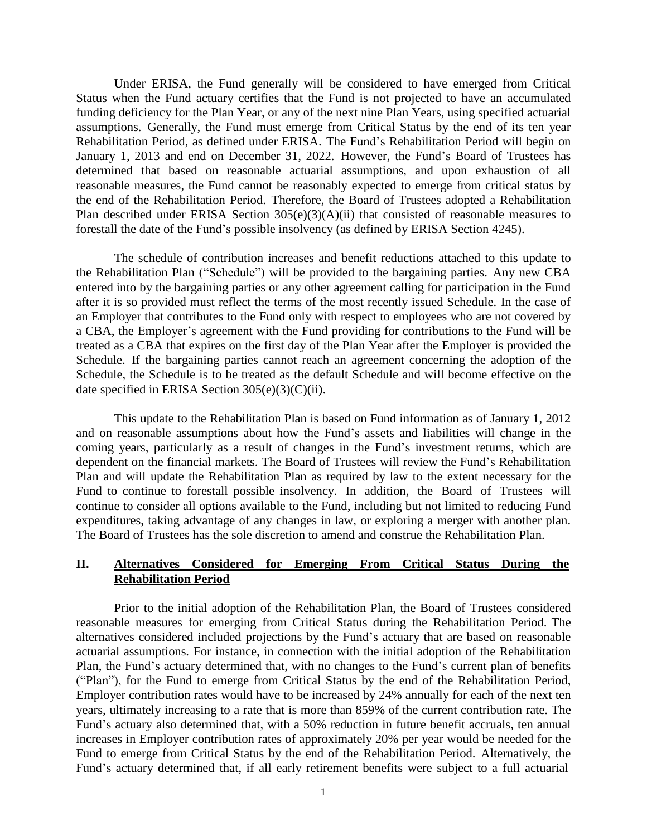Under ERISA, the Fund generally will be considered to have emerged from Critical Status when the Fund actuary certifies that the Fund is not projected to have an accumulated funding deficiency for the Plan Year, or any of the next nine Plan Years, using specified actuarial assumptions. Generally, the Fund must emerge from Critical Status by the end of its ten year Rehabilitation Period, as defined under ERISA. The Fund's Rehabilitation Period will begin on January 1, 2013 and end on December 31, 2022. However, the Fund's Board of Trustees has determined that based on reasonable actuarial assumptions, and upon exhaustion of all reasonable measures, the Fund cannot be reasonably expected to emerge from critical status by the end of the Rehabilitation Period. Therefore, the Board of Trustees adopted a Rehabilitation Plan described under ERISA Section 305(e)(3)(A)(ii) that consisted of reasonable measures to forestall the date of the Fund's possible insolvency (as defined by ERISA Section 4245).

The schedule of contribution increases and benefit reductions attached to this update to the Rehabilitation Plan ("Schedule") will be provided to the bargaining parties. Any new CBA entered into by the bargaining parties or any other agreement calling for participation in the Fund after it is so provided must reflect the terms of the most recently issued Schedule. In the case of an Employer that contributes to the Fund only with respect to employees who are not covered by a CBA, the Employer's agreement with the Fund providing for contributions to the Fund will be treated as a CBA that expires on the first day of the Plan Year after the Employer is provided the Schedule. If the bargaining parties cannot reach an agreement concerning the adoption of the Schedule, the Schedule is to be treated as the default Schedule and will become effective on the date specified in ERISA Section  $305(e)(3)(C)(ii)$ .

This update to the Rehabilitation Plan is based on Fund information as of January 1, 2012 and on reasonable assumptions about how the Fund's assets and liabilities will change in the coming years, particularly as a result of changes in the Fund's investment returns, which are dependent on the financial markets. The Board of Trustees will review the Fund's Rehabilitation Plan and will update the Rehabilitation Plan as required by law to the extent necessary for the Fund to continue to forestall possible insolvency. In addition, the Board of Trustees will continue to consider all options available to the Fund, including but not limited to reducing Fund expenditures, taking advantage of any changes in law, or exploring a merger with another plan. The Board of Trustees has the sole discretion to amend and construe the Rehabilitation Plan.

# **II. Alternatives Considered for Emerging From Critical Status During the Rehabilitation Period**

Prior to the initial adoption of the Rehabilitation Plan, the Board of Trustees considered reasonable measures for emerging from Critical Status during the Rehabilitation Period. The alternatives considered included projections by the Fund's actuary that are based on reasonable actuarial assumptions. For instance, in connection with the initial adoption of the Rehabilitation Plan, the Fund's actuary determined that, with no changes to the Fund's current plan of benefits ("Plan"), for the Fund to emerge from Critical Status by the end of the Rehabilitation Period, Employer contribution rates would have to be increased by 24% annually for each of the next ten years, ultimately increasing to a rate that is more than 859% of the current contribution rate. The Fund's actuary also determined that, with a 50% reduction in future benefit accruals, ten annual increases in Employer contribution rates of approximately 20% per year would be needed for the Fund to emerge from Critical Status by the end of the Rehabilitation Period. Alternatively, the Fund's actuary determined that, if all early retirement benefits were subject to a full actuarial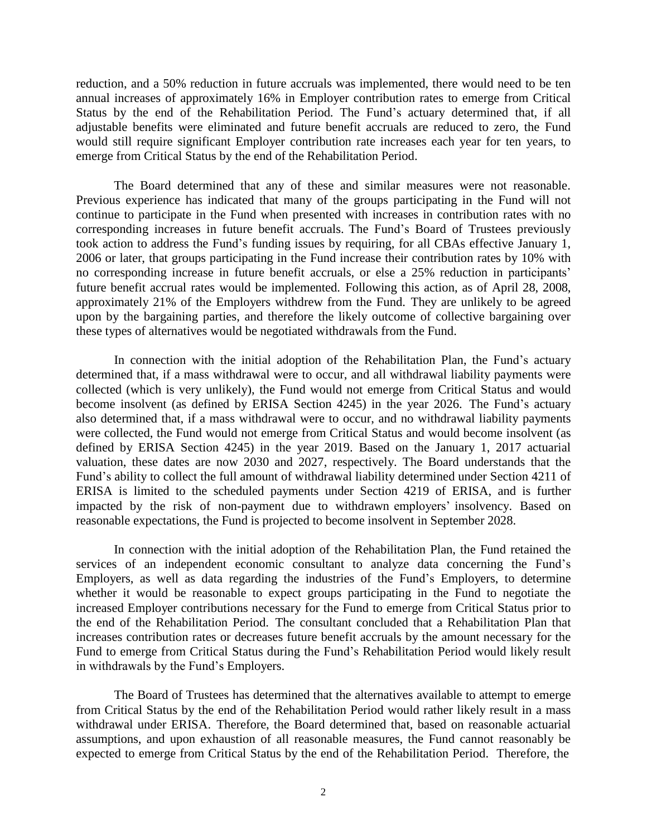reduction, and a 50% reduction in future accruals was implemented, there would need to be ten annual increases of approximately 16% in Employer contribution rates to emerge from Critical Status by the end of the Rehabilitation Period. The Fund's actuary determined that, if all adjustable benefits were eliminated and future benefit accruals are reduced to zero, the Fund would still require significant Employer contribution rate increases each year for ten years, to emerge from Critical Status by the end of the Rehabilitation Period.

The Board determined that any of these and similar measures were not reasonable. Previous experience has indicated that many of the groups participating in the Fund will not continue to participate in the Fund when presented with increases in contribution rates with no corresponding increases in future benefit accruals. The Fund's Board of Trustees previously took action to address the Fund's funding issues by requiring, for all CBAs effective January 1, 2006 or later, that groups participating in the Fund increase their contribution rates by 10% with no corresponding increase in future benefit accruals, or else a 25% reduction in participants' future benefit accrual rates would be implemented. Following this action, as of April 28, 2008, approximately 21% of the Employers withdrew from the Fund. They are unlikely to be agreed upon by the bargaining parties, and therefore the likely outcome of collective bargaining over these types of alternatives would be negotiated withdrawals from the Fund.

In connection with the initial adoption of the Rehabilitation Plan, the Fund's actuary determined that, if a mass withdrawal were to occur, and all withdrawal liability payments were collected (which is very unlikely), the Fund would not emerge from Critical Status and would become insolvent (as defined by ERISA Section 4245) in the year 2026. The Fund's actuary also determined that, if a mass withdrawal were to occur, and no withdrawal liability payments were collected, the Fund would not emerge from Critical Status and would become insolvent (as defined by ERISA Section 4245) in the year 2019. Based on the January 1, 2017 actuarial valuation, these dates are now 2030 and 2027, respectively. The Board understands that the Fund's ability to collect the full amount of withdrawal liability determined under Section 4211 of ERISA is limited to the scheduled payments under Section 4219 of ERISA, and is further impacted by the risk of non-payment due to withdrawn employers' insolvency. Based on reasonable expectations, the Fund is projected to become insolvent in September 2028.

In connection with the initial adoption of the Rehabilitation Plan, the Fund retained the services of an independent economic consultant to analyze data concerning the Fund's Employers, as well as data regarding the industries of the Fund's Employers, to determine whether it would be reasonable to expect groups participating in the Fund to negotiate the increased Employer contributions necessary for the Fund to emerge from Critical Status prior to the end of the Rehabilitation Period. The consultant concluded that a Rehabilitation Plan that increases contribution rates or decreases future benefit accruals by the amount necessary for the Fund to emerge from Critical Status during the Fund's Rehabilitation Period would likely result in withdrawals by the Fund's Employers.

The Board of Trustees has determined that the alternatives available to attempt to emerge from Critical Status by the end of the Rehabilitation Period would rather likely result in a mass withdrawal under ERISA. Therefore, the Board determined that, based on reasonable actuarial assumptions, and upon exhaustion of all reasonable measures, the Fund cannot reasonably be expected to emerge from Critical Status by the end of the Rehabilitation Period. Therefore, the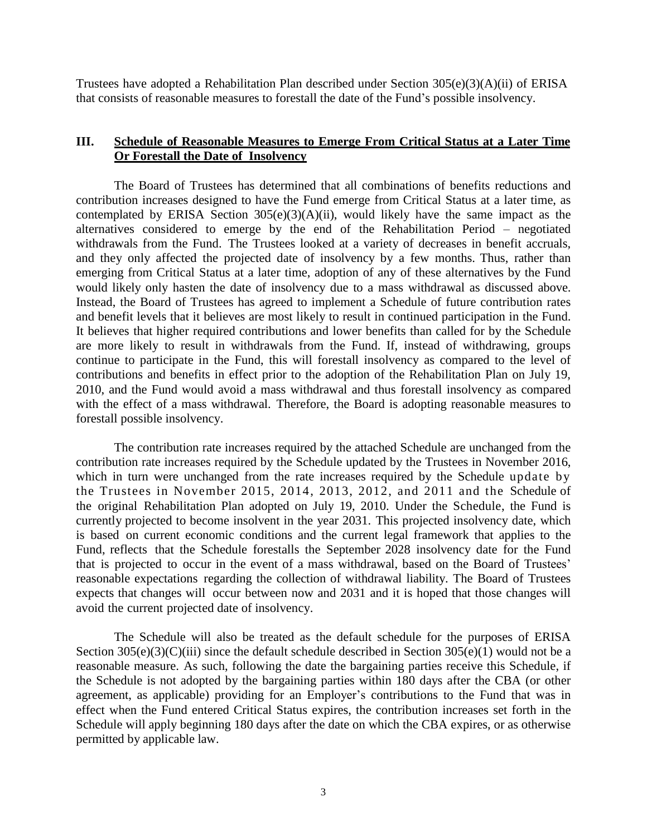Trustees have adopted a Rehabilitation Plan described under Section 305(e)(3)(A)(ii) of ERISA that consists of reasonable measures to forestall the date of the Fund's possible insolvency.

# **III. Schedule of Reasonable Measures to Emerge From Critical Status at a Later Time Or Forestall the Date of Insolvency**

The Board of Trustees has determined that all combinations of benefits reductions and contribution increases designed to have the Fund emerge from Critical Status at a later time, as contemplated by ERISA Section  $305(e)(3)(A)(ii)$ , would likely have the same impact as the alternatives considered to emerge by the end of the Rehabilitation Period – negotiated withdrawals from the Fund. The Trustees looked at a variety of decreases in benefit accruals, and they only affected the projected date of insolvency by a few months. Thus, rather than emerging from Critical Status at a later time, adoption of any of these alternatives by the Fund would likely only hasten the date of insolvency due to a mass withdrawal as discussed above. Instead, the Board of Trustees has agreed to implement a Schedule of future contribution rates and benefit levels that it believes are most likely to result in continued participation in the Fund. It believes that higher required contributions and lower benefits than called for by the Schedule are more likely to result in withdrawals from the Fund. If, instead of withdrawing, groups continue to participate in the Fund, this will forestall insolvency as compared to the level of contributions and benefits in effect prior to the adoption of the Rehabilitation Plan on July 19, 2010, and the Fund would avoid a mass withdrawal and thus forestall insolvency as compared with the effect of a mass withdrawal. Therefore, the Board is adopting reasonable measures to forestall possible insolvency.

The contribution rate increases required by the attached Schedule are unchanged from the contribution rate increases required by the Schedule updated by the Trustees in November 2016, which in turn were unchanged from the rate increases required by the Schedule update by the Trustees in November 2015, 2014, 2013, 2012, and 2011 and the Schedule of the original Rehabilitation Plan adopted on July 19, 2010. Under the Schedule, the Fund is currently projected to become insolvent in the year 2031. This projected insolvency date, which is based on current economic conditions and the current legal framework that applies to the Fund, reflects that the Schedule forestalls the September 2028 insolvency date for the Fund that is projected to occur in the event of a mass withdrawal, based on the Board of Trustees' reasonable expectations regarding the collection of withdrawal liability. The Board of Trustees expects that changes will occur between now and 2031 and it is hoped that those changes will avoid the current projected date of insolvency.

The Schedule will also be treated as the default schedule for the purposes of ERISA Section  $305(e)(3)(C)(iii)$  since the default schedule described in Section  $305(e)(1)$  would not be a reasonable measure. As such, following the date the bargaining parties receive this Schedule, if the Schedule is not adopted by the bargaining parties within 180 days after the CBA (or other agreement, as applicable) providing for an Employer's contributions to the Fund that was in effect when the Fund entered Critical Status expires, the contribution increases set forth in the Schedule will apply beginning 180 days after the date on which the CBA expires, or as otherwise permitted by applicable law.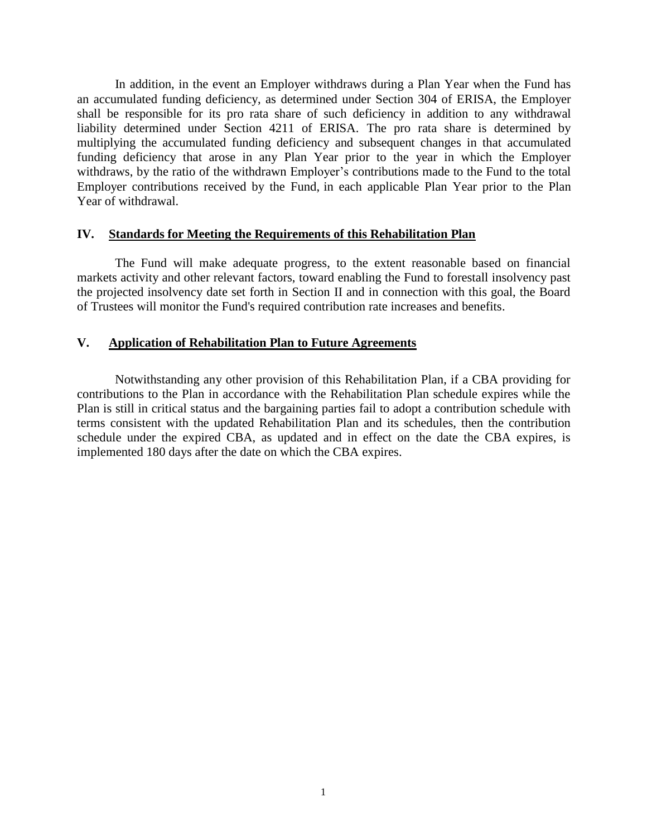In addition, in the event an Employer withdraws during a Plan Year when the Fund has an accumulated funding deficiency, as determined under Section 304 of ERISA, the Employer shall be responsible for its pro rata share of such deficiency in addition to any withdrawal liability determined under Section 4211 of ERISA. The pro rata share is determined by multiplying the accumulated funding deficiency and subsequent changes in that accumulated funding deficiency that arose in any Plan Year prior to the year in which the Employer withdraws, by the ratio of the withdrawn Employer's contributions made to the Fund to the total Employer contributions received by the Fund, in each applicable Plan Year prior to the Plan Year of withdrawal.

#### **IV. Standards for Meeting the Requirements of this Rehabilitation Plan**

The Fund will make adequate progress, to the extent reasonable based on financial markets activity and other relevant factors, toward enabling the Fund to forestall insolvency past the projected insolvency date set forth in Section II and in connection with this goal, the Board of Trustees will monitor the Fund's required contribution rate increases and benefits.

### **V. Application of Rehabilitation Plan to Future Agreements**

Notwithstanding any other provision of this Rehabilitation Plan, if a CBA providing for contributions to the Plan in accordance with the Rehabilitation Plan schedule expires while the Plan is still in critical status and the bargaining parties fail to adopt a contribution schedule with terms consistent with the updated Rehabilitation Plan and its schedules, then the contribution schedule under the expired CBA, as updated and in effect on the date the CBA expires, is implemented 180 days after the date on which the CBA expires.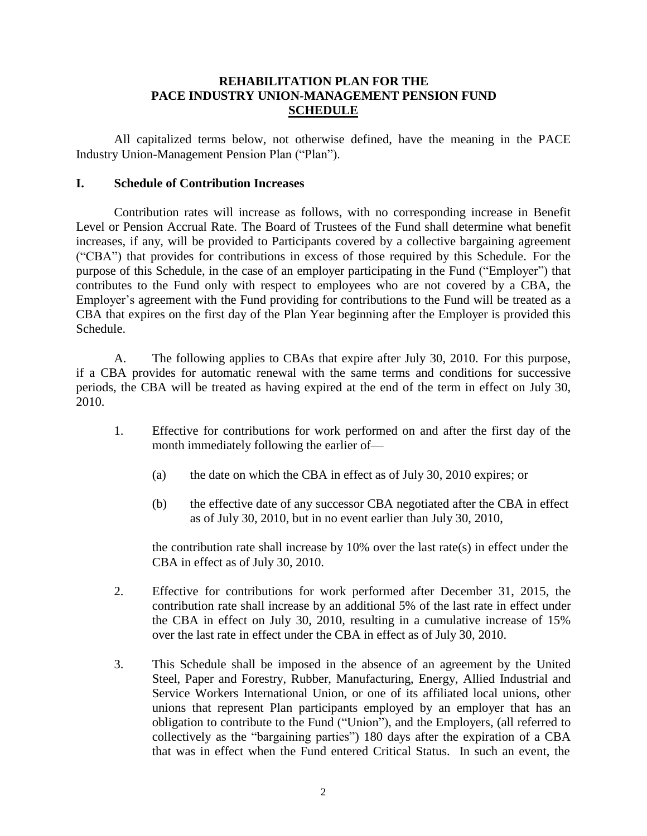# **REHABILITATION PLAN FOR THE PACE INDUSTRY UNION-MANAGEMENT PENSION FUND SCHEDULE**

All capitalized terms below, not otherwise defined, have the meaning in the PACE Industry Union-Management Pension Plan ("Plan").

## **I. Schedule of Contribution Increases**

Contribution rates will increase as follows, with no corresponding increase in Benefit Level or Pension Accrual Rate. The Board of Trustees of the Fund shall determine what benefit increases, if any, will be provided to Participants covered by a collective bargaining agreement ("CBA") that provides for contributions in excess of those required by this Schedule. For the purpose of this Schedule, in the case of an employer participating in the Fund ("Employer") that contributes to the Fund only with respect to employees who are not covered by a CBA, the Employer's agreement with the Fund providing for contributions to the Fund will be treated as a CBA that expires on the first day of the Plan Year beginning after the Employer is provided this Schedule.

A. The following applies to CBAs that expire after July 30, 2010. For this purpose, if a CBA provides for automatic renewal with the same terms and conditions for successive periods, the CBA will be treated as having expired at the end of the term in effect on July 30, 2010.

- 1. Effective for contributions for work performed on and after the first day of the month immediately following the earlier of—
	- (a) the date on which the CBA in effect as of July 30, 2010 expires; or
	- (b) the effective date of any successor CBA negotiated after the CBA in effect as of July 30, 2010, but in no event earlier than July 30, 2010,

the contribution rate shall increase by 10% over the last rate(s) in effect under the CBA in effect as of July 30, 2010.

- 2. Effective for contributions for work performed after December 31, 2015, the contribution rate shall increase by an additional 5% of the last rate in effect under the CBA in effect on July 30, 2010, resulting in a cumulative increase of 15% over the last rate in effect under the CBA in effect as of July 30, 2010.
- 3. This Schedule shall be imposed in the absence of an agreement by the United Steel, Paper and Forestry, Rubber, Manufacturing, Energy, Allied Industrial and Service Workers International Union, or one of its affiliated local unions, other unions that represent Plan participants employed by an employer that has an obligation to contribute to the Fund ("Union"), and the Employers, (all referred to collectively as the "bargaining parties") 180 days after the expiration of a CBA that was in effect when the Fund entered Critical Status. In such an event, the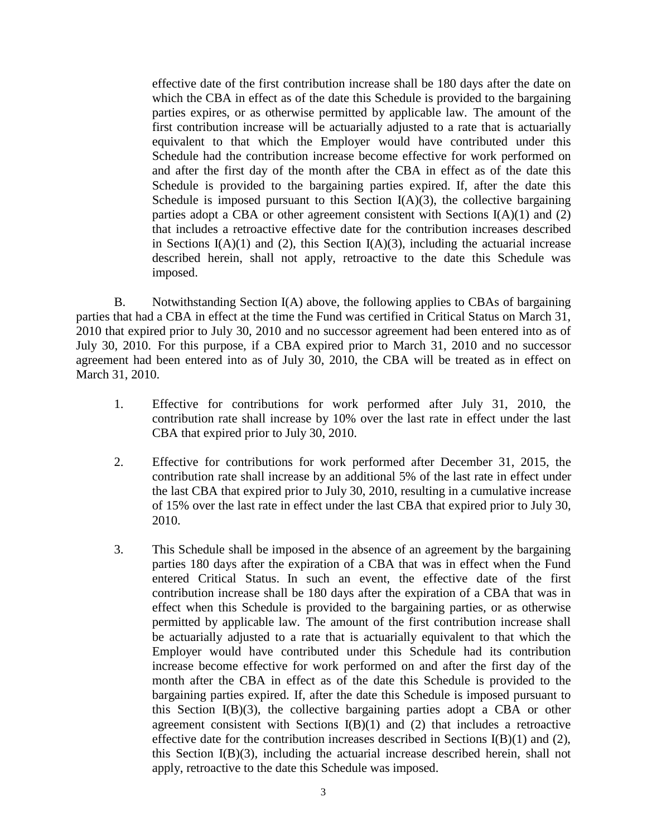effective date of the first contribution increase shall be 180 days after the date on which the CBA in effect as of the date this Schedule is provided to the bargaining parties expires, or as otherwise permitted by applicable law. The amount of the first contribution increase will be actuarially adjusted to a rate that is actuarially equivalent to that which the Employer would have contributed under this Schedule had the contribution increase become effective for work performed on and after the first day of the month after the CBA in effect as of the date this Schedule is provided to the bargaining parties expired. If, after the date this Schedule is imposed pursuant to this Section  $I(A)(3)$ , the collective bargaining parties adopt a CBA or other agreement consistent with Sections  $I(A)(1)$  and  $(2)$ that includes a retroactive effective date for the contribution increases described in Sections  $I(A)(1)$  and (2), this Section  $I(A)(3)$ , including the actuarial increase described herein, shall not apply, retroactive to the date this Schedule was imposed.

B. Notwithstanding Section I(A) above, the following applies to CBAs of bargaining parties that had a CBA in effect at the time the Fund was certified in Critical Status on March 31, 2010 that expired prior to July 30, 2010 and no successor agreement had been entered into as of July 30, 2010. For this purpose, if a CBA expired prior to March 31, 2010 and no successor agreement had been entered into as of July 30, 2010, the CBA will be treated as in effect on March 31, 2010.

- 1. Effective for contributions for work performed after July 31, 2010, the contribution rate shall increase by 10% over the last rate in effect under the last CBA that expired prior to July 30, 2010.
- 2. Effective for contributions for work performed after December 31, 2015, the contribution rate shall increase by an additional 5% of the last rate in effect under the last CBA that expired prior to July 30, 2010, resulting in a cumulative increase of 15% over the last rate in effect under the last CBA that expired prior to July 30, 2010.
- 3. This Schedule shall be imposed in the absence of an agreement by the bargaining parties 180 days after the expiration of a CBA that was in effect when the Fund entered Critical Status. In such an event, the effective date of the first contribution increase shall be 180 days after the expiration of a CBA that was in effect when this Schedule is provided to the bargaining parties, or as otherwise permitted by applicable law. The amount of the first contribution increase shall be actuarially adjusted to a rate that is actuarially equivalent to that which the Employer would have contributed under this Schedule had its contribution increase become effective for work performed on and after the first day of the month after the CBA in effect as of the date this Schedule is provided to the bargaining parties expired. If, after the date this Schedule is imposed pursuant to this Section I(B)(3), the collective bargaining parties adopt a CBA or other agreement consistent with Sections  $I(B)(1)$  and (2) that includes a retroactive effective date for the contribution increases described in Sections  $I(B)(1)$  and  $(2)$ , this Section I(B)(3), including the actuarial increase described herein, shall not apply, retroactive to the date this Schedule was imposed.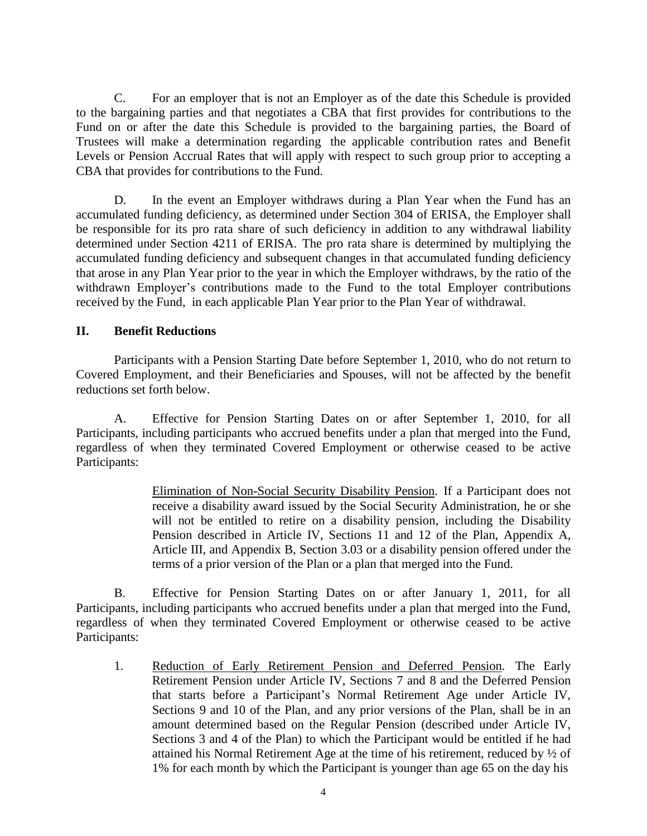C. For an employer that is not an Employer as of the date this Schedule is provided to the bargaining parties and that negotiates a CBA that first provides for contributions to the Fund on or after the date this Schedule is provided to the bargaining parties, the Board of Trustees will make a determination regarding the applicable contribution rates and Benefit Levels or Pension Accrual Rates that will apply with respect to such group prior to accepting a CBA that provides for contributions to the Fund.

D. In the event an Employer withdraws during a Plan Year when the Fund has an accumulated funding deficiency, as determined under Section 304 of ERISA, the Employer shall be responsible for its pro rata share of such deficiency in addition to any withdrawal liability determined under Section 4211 of ERISA. The pro rata share is determined by multiplying the accumulated funding deficiency and subsequent changes in that accumulated funding deficiency that arose in any Plan Year prior to the year in which the Employer withdraws, by the ratio of the withdrawn Employer's contributions made to the Fund to the total Employer contributions received by the Fund, in each applicable Plan Year prior to the Plan Year of withdrawal.

# **II. Benefit Reductions**

Participants with a Pension Starting Date before September 1, 2010, who do not return to Covered Employment, and their Beneficiaries and Spouses, will not be affected by the benefit reductions set forth below.

A. Effective for Pension Starting Dates on or after September 1, 2010, for all Participants, including participants who accrued benefits under a plan that merged into the Fund, regardless of when they terminated Covered Employment or otherwise ceased to be active Participants:

> Elimination of Non-Social Security Disability Pension. If a Participant does not receive a disability award issued by the Social Security Administration, he or she will not be entitled to retire on a disability pension, including the Disability Pension described in Article IV, Sections 11 and 12 of the Plan, Appendix A, Article III, and Appendix B, Section 3.03 or a disability pension offered under the terms of a prior version of the Plan or a plan that merged into the Fund.

B. Effective for Pension Starting Dates on or after January 1, 2011, for all Participants, including participants who accrued benefits under a plan that merged into the Fund, regardless of when they terminated Covered Employment or otherwise ceased to be active Participants:

1. Reduction of Early Retirement Pension and Deferred Pension. The Early Retirement Pension under Article IV, Sections 7 and 8 and the Deferred Pension that starts before a Participant's Normal Retirement Age under Article IV, Sections 9 and 10 of the Plan, and any prior versions of the Plan, shall be in an amount determined based on the Regular Pension (described under Article IV, Sections 3 and 4 of the Plan) to which the Participant would be entitled if he had attained his Normal Retirement Age at the time of his retirement, reduced by  $\frac{1}{2}$  of 1% for each month by which the Participant is younger than age 65 on the day his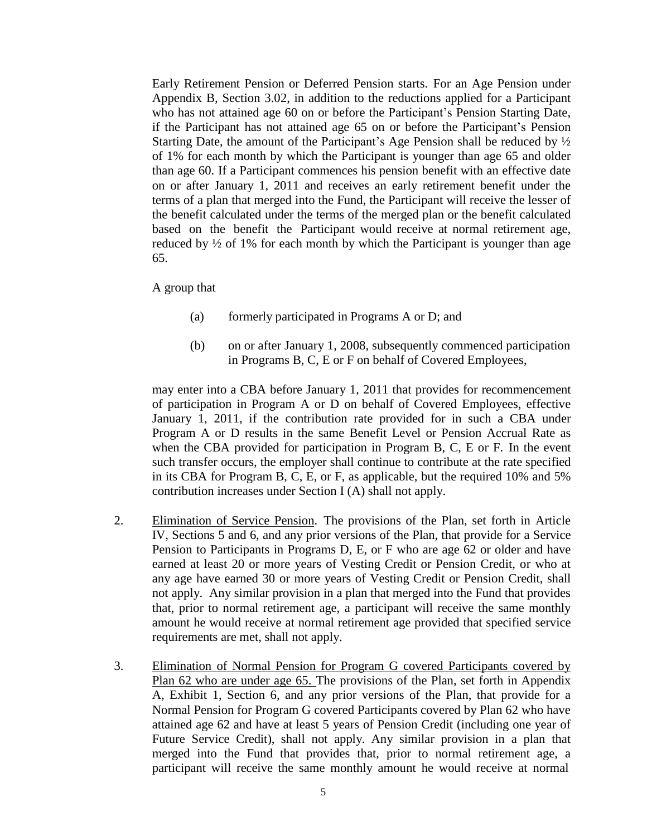Early Retirement Pension or Deferred Pension starts. For an Age Pension under Appendix B, Section 3.02, in addition to the reductions applied for a Participant who has not attained age 60 on or before the Participant's Pension Starting Date, if the Participant has not attained age 65 on or before the Participant's Pension Starting Date, the amount of the Participant's Age Pension shall be reduced by ½ of 1% for each month by which the Participant is younger than age 65 and older than age 60. If a Participant commences his pension benefit with an effective date on or after January 1, 2011 and receives an early retirement benefit under the terms of a plan that merged into the Fund, the Participant will receive the lesser of the benefit calculated under the terms of the merged plan or the benefit calculated based on the benefit the Participant would receive at normal retirement age, reduced by ½ of 1% for each month by which the Participant is younger than age 65.

#### A group that

- (a) formerly participated in Programs A or D; and
- (b) on or after January 1, 2008, subsequently commenced participation in Programs B, C, E or F on behalf of Covered Employees,

may enter into a CBA before January 1, 2011 that provides for recommencement of participation in Program A or D on behalf of Covered Employees, effective January 1, 2011, if the contribution rate provided for in such a CBA under Program A or D results in the same Benefit Level or Pension Accrual Rate as when the CBA provided for participation in Program B, C, E or F. In the event such transfer occurs, the employer shall continue to contribute at the rate specified in its CBA for Program B, C, E, or F, as applicable, but the required 10% and 5% contribution increases under Section I (A) shall not apply.

- 2. Elimination of Service Pension. The provisions of the Plan, set forth in Article IV, Sections 5 and 6, and any prior versions of the Plan, that provide for a Service Pension to Participants in Programs D, E, or F who are age 62 or older and have earned at least 20 or more years of Vesting Credit or Pension Credit, or who at any age have earned 30 or more years of Vesting Credit or Pension Credit, shall not apply. Any similar provision in a plan that merged into the Fund that provides that, prior to normal retirement age, a participant will receive the same monthly amount he would receive at normal retirement age provided that specified service requirements are met, shall not apply.
- 3. Elimination of Normal Pension for Program G covered Participants covered by Plan 62 who are under age 65. The provisions of the Plan, set forth in Appendix A, Exhibit 1, Section 6, and any prior versions of the Plan, that provide for a Normal Pension for Program G covered Participants covered by Plan 62 who have attained age 62 and have at least 5 years of Pension Credit (including one year of Future Service Credit), shall not apply. Any similar provision in a plan that merged into the Fund that provides that, prior to normal retirement age, a participant will receive the same monthly amount he would receive at normal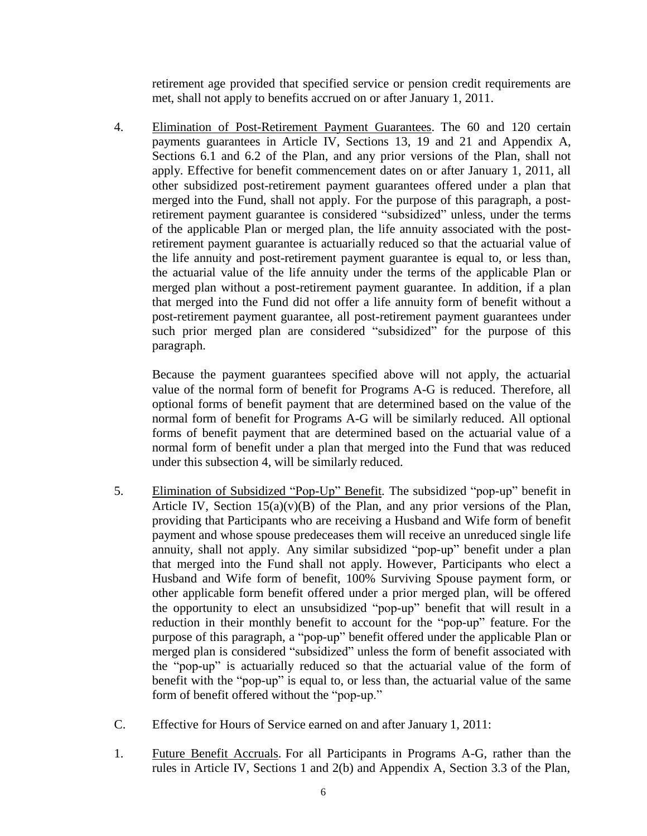retirement age provided that specified service or pension credit requirements are met, shall not apply to benefits accrued on or after January 1, 2011.

4. Elimination of Post-Retirement Payment Guarantees. The 60 and 120 certain payments guarantees in Article IV, Sections 13, 19 and 21 and Appendix A, Sections 6.1 and 6.2 of the Plan, and any prior versions of the Plan, shall not apply. Effective for benefit commencement dates on or after January 1, 2011, all other subsidized post-retirement payment guarantees offered under a plan that merged into the Fund, shall not apply. For the purpose of this paragraph, a postretirement payment guarantee is considered "subsidized" unless, under the terms of the applicable Plan or merged plan, the life annuity associated with the postretirement payment guarantee is actuarially reduced so that the actuarial value of the life annuity and post-retirement payment guarantee is equal to, or less than, the actuarial value of the life annuity under the terms of the applicable Plan or merged plan without a post-retirement payment guarantee. In addition, if a plan that merged into the Fund did not offer a life annuity form of benefit without a post-retirement payment guarantee, all post-retirement payment guarantees under such prior merged plan are considered "subsidized" for the purpose of this paragraph.

Because the payment guarantees specified above will not apply, the actuarial value of the normal form of benefit for Programs A-G is reduced. Therefore, all optional forms of benefit payment that are determined based on the value of the normal form of benefit for Programs A-G will be similarly reduced. All optional forms of benefit payment that are determined based on the actuarial value of a normal form of benefit under a plan that merged into the Fund that was reduced under this subsection 4, will be similarly reduced.

- 5. Elimination of Subsidized "Pop-Up" Benefit. The subsidized "pop-up" benefit in Article IV, Section  $15(a)(v)(B)$  of the Plan, and any prior versions of the Plan, providing that Participants who are receiving a Husband and Wife form of benefit payment and whose spouse predeceases them will receive an unreduced single life annuity, shall not apply. Any similar subsidized "pop-up" benefit under a plan that merged into the Fund shall not apply. However, Participants who elect a Husband and Wife form of benefit, 100% Surviving Spouse payment form, or other applicable form benefit offered under a prior merged plan, will be offered the opportunity to elect an unsubsidized "pop-up" benefit that will result in a reduction in their monthly benefit to account for the "pop-up" feature. For the purpose of this paragraph, a "pop-up" benefit offered under the applicable Plan or merged plan is considered "subsidized" unless the form of benefit associated with the "pop-up" is actuarially reduced so that the actuarial value of the form of benefit with the "pop-up" is equal to, or less than, the actuarial value of the same form of benefit offered without the "pop-up."
- C. Effective for Hours of Service earned on and after January 1, 2011:
- 1. Future Benefit Accruals. For all Participants in Programs A-G, rather than the rules in Article IV, Sections 1 and 2(b) and Appendix A, Section 3.3 of the Plan,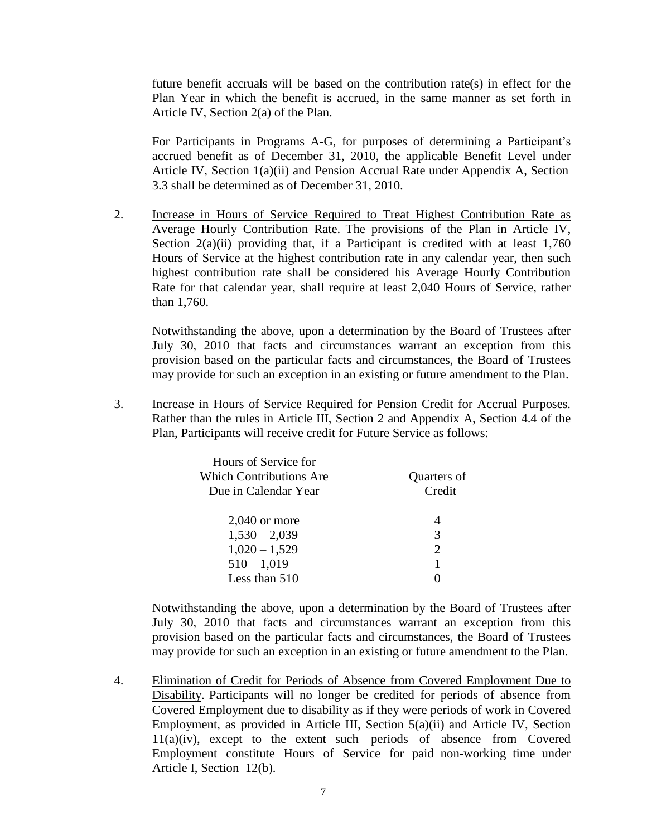future benefit accruals will be based on the contribution rate(s) in effect for the Plan Year in which the benefit is accrued, in the same manner as set forth in Article IV, Section 2(a) of the Plan.

For Participants in Programs A-G, for purposes of determining a Participant's accrued benefit as of December 31, 2010, the applicable Benefit Level under Article IV, Section 1(a)(ii) and Pension Accrual Rate under Appendix A, Section 3.3 shall be determined as of December 31, 2010.

2. Increase in Hours of Service Required to Treat Highest Contribution Rate as Average Hourly Contribution Rate. The provisions of the Plan in Article IV, Section  $2(a)(ii)$  providing that, if a Participant is credited with at least 1,760 Hours of Service at the highest contribution rate in any calendar year, then such highest contribution rate shall be considered his Average Hourly Contribution Rate for that calendar year, shall require at least 2,040 Hours of Service, rather than 1,760.

Notwithstanding the above, upon a determination by the Board of Trustees after July 30, 2010 that facts and circumstances warrant an exception from this provision based on the particular facts and circumstances, the Board of Trustees may provide for such an exception in an existing or future amendment to the Plan.

3. Increase in Hours of Service Required for Pension Credit for Accrual Purposes. Rather than the rules in Article III, Section 2 and Appendix A, Section 4.4 of the Plan, Participants will receive credit for Future Service as follows:

| Hours of Service for    |                       |
|-------------------------|-----------------------|
| Which Contributions Are | Quarters of           |
| Due in Calendar Year    | Credit                |
|                         |                       |
| $2,040$ or more         |                       |
| $1,530 - 2,039$         | 3                     |
| $1,020 - 1,529$         | $\mathcal{D}_{\cdot}$ |
| $510 - 1,019$           | 1                     |
| Less than 510           |                       |

Notwithstanding the above, upon a determination by the Board of Trustees after July 30, 2010 that facts and circumstances warrant an exception from this provision based on the particular facts and circumstances, the Board of Trustees may provide for such an exception in an existing or future amendment to the Plan.

4. Elimination of Credit for Periods of Absence from Covered Employment Due to Disability. Participants will no longer be credited for periods of absence from Covered Employment due to disability as if they were periods of work in Covered Employment, as provided in Article III, Section 5(a)(ii) and Article IV, Section 11(a)(iv), except to the extent such periods of absence from Covered Employment constitute Hours of Service for paid non-working time under Article I, Section 12(b).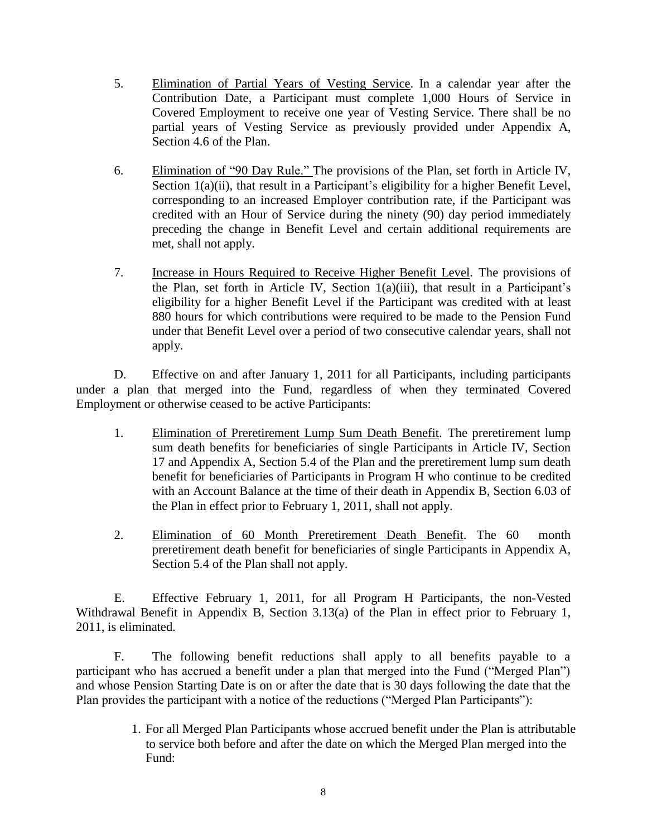- 5. Elimination of Partial Years of Vesting Service. In a calendar year after the Contribution Date, a Participant must complete 1,000 Hours of Service in Covered Employment to receive one year of Vesting Service. There shall be no partial years of Vesting Service as previously provided under Appendix A, Section 4.6 of the Plan.
- 6. Elimination of "90 Day Rule." The provisions of the Plan, set forth in Article IV, Section 1(a)(ii), that result in a Participant's eligibility for a higher Benefit Level, corresponding to an increased Employer contribution rate, if the Participant was credited with an Hour of Service during the ninety (90) day period immediately preceding the change in Benefit Level and certain additional requirements are met, shall not apply.
- 7. Increase in Hours Required to Receive Higher Benefit Level. The provisions of the Plan, set forth in Article IV, Section 1(a)(iii), that result in a Participant's eligibility for a higher Benefit Level if the Participant was credited with at least 880 hours for which contributions were required to be made to the Pension Fund under that Benefit Level over a period of two consecutive calendar years, shall not apply.

D. Effective on and after January 1, 2011 for all Participants, including participants under a plan that merged into the Fund, regardless of when they terminated Covered Employment or otherwise ceased to be active Participants:

- 1. Elimination of Preretirement Lump Sum Death Benefit. The preretirement lump sum death benefits for beneficiaries of single Participants in Article IV, Section 17 and Appendix A, Section 5.4 of the Plan and the preretirement lump sum death benefit for beneficiaries of Participants in Program H who continue to be credited with an Account Balance at the time of their death in Appendix B, Section 6.03 of the Plan in effect prior to February 1, 2011, shall not apply.
- 2. Elimination of 60 Month Preretirement Death Benefit. The 60 month preretirement death benefit for beneficiaries of single Participants in Appendix A, Section 5.4 of the Plan shall not apply.

E. Effective February 1, 2011, for all Program H Participants, the non-Vested Withdrawal Benefit in Appendix B, Section 3.13(a) of the Plan in effect prior to February 1, 2011, is eliminated.

F. The following benefit reductions shall apply to all benefits payable to a participant who has accrued a benefit under a plan that merged into the Fund ("Merged Plan") and whose Pension Starting Date is on or after the date that is 30 days following the date that the Plan provides the participant with a notice of the reductions ("Merged Plan Participants"):

> 1. For all Merged Plan Participants whose accrued benefit under the Plan is attributable to service both before and after the date on which the Merged Plan merged into the Fund: